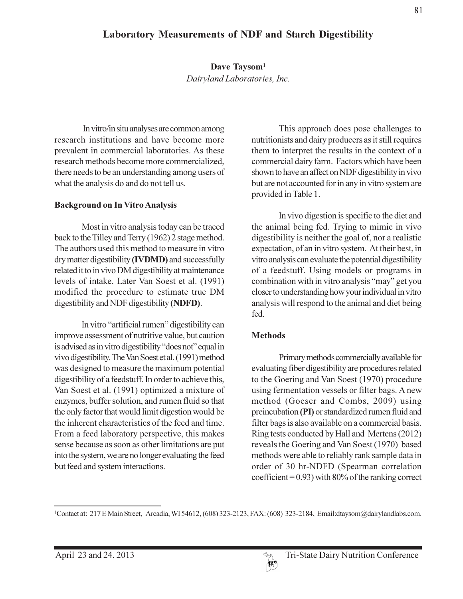Dave Taysom<sup>1</sup> Dairyland Laboratories, Inc.

In vitro/in situ analyses are common among research institutions and have become more prevalent in commercial laboratories. As these research methods become more commercialized. there needs to be an understanding among users of what the analysis do and do not tell us.

### **Background on In Vitro Analysis**

Most in vitro analysis today can be traced back to the Tilley and Terry (1962) 2 stage method. The authors used this method to measure in vitro dry matter digestibility (IVDMD) and successfully related it to in vivo DM digestibility at maintenance levels of intake. Later Van Soest et al. (1991) modified the procedure to estimate true DM digestibility and NDF digestibility (NDFD).

In vitro "artificial rumen" digestibility can improve assessment of nutritive value, but caution is advised as in vitro digestibility "does not" equal in vivo digestibility. The Van Soest et al. (1991) method was designed to measure the maximum potential digestibility of a feedstuff. In order to achieve this, Van Soest et al. (1991) optimized a mixture of enzymes, buffer solution, and rumen fluid so that the only factor that would limit digestion would be the inherent characteristics of the feed and time. From a feed laboratory perspective, this makes sense because as soon as other limitations are put into the system, we are no longer evaluating the feed but feed and system interactions.

This approach does pose challenges to nutritionists and dairy producers as it still requires them to interpret the results in the context of a commercial dairy farm. Factors which have been shown to have an affect on NDF digestibility in vivo but are not accounted for in any in vitro system are provided in Table 1.

In vivo digestion is specific to the diet and the animal being fed. Trying to mimic in vivo digestibility is neither the goal of, nor a realistic expectation, of an in vitro system. At their best, in vitro analysis can evaluate the potential digestibility of a feedstuff. Using models or programs in combination with in vitro analysis "may" get you closer to understanding how your individual in vitro analysis will respond to the animal and diet being fed.

### **Methods**

Primary methods commercially available for evaluating fiber digestibility are procedures related to the Goering and Van Soest (1970) procedure using fermentation vessels or filter bags. A new method (Goeser and Combs, 2009) using preincubation (PI) or standardized rumen fluid and filter bags is also available on a commercial basis. Ring tests conducted by Hall and Mertens (2012) reveals the Goering and Van Soest (1970) based methods were able to reliably rank sample data in order of 30 hr-NDFD (Spearman correlation coefficient =  $0.93$ ) with 80% of the ranking correct

<sup>1</sup>Contact at: 217 E Main Street, Arcadia, WI 54612, (608) 323-2123, FAX: (608) 323-2184, Email:dtaysom@dairylandlabs.com.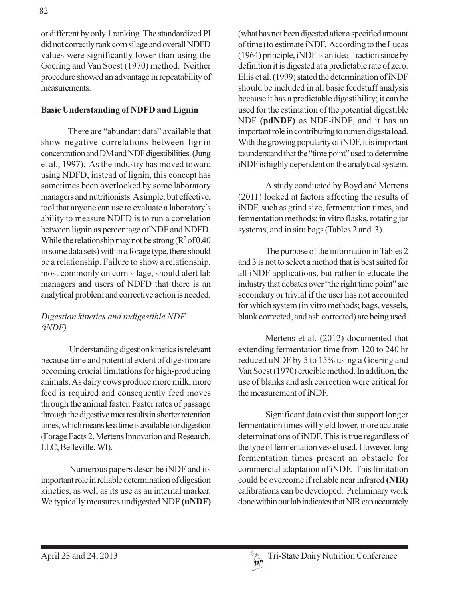or different by only 1 ranking. The standardized PI did not correctly rank corn silage and overall NDFD values were significantly lower than using the Goering and Van Soest (1970) method. Neither procedure showed an advantage in repeatability of measurements.

## **Basic Understanding of NDFD and Lignin**

There are "abundant data" available that show negative correlations between lignin concentration and DM and NDF digestibilities. (Jung et al., 1997). As the industry has moved toward using NDFD, instead of lignin, this concept has sometimes been overlooked by some laboratory managers and nutritionists. A simple, but effective, tool that anyone can use to evaluate a laboratory's ability to measure NDFD is to run a correlation between lignin as percentage of NDF and NDFD. While the relationship may not be strong ( $R^2$  of 0.40 in some data sets) within a forage type, there should be a relationship. Failure to show a relationship, most commonly on corn silage, should alert lab managers and users of NDFD that there is an analytical problem and corrective action is needed.

## Digestion kinetics and indigestible NDF  $(iNDF)$

Understanding digestion kinetics is relevant because time and potential extent of digestion are becoming crucial limitations for high-producing animals. As dairy cows produce more milk, more feed is required and consequently feed moves through the animal faster. Faster rates of passage through the digestive tract results in shorter retention times, which means less time is available for digestion (Forage Facts 2, Mertens Innovation and Research, LLC, Belleville, WI).

Numerous papers describe iNDF and its important role in reliable determination of digestion kinetics, as well as its use as an internal marker. We typically measures undigested NDF (uNDF) (what has not been digested after a specified amount of time) to estimate iNDF. According to the Lucas (1964) principle, iNDF is an ideal fraction since by definition it is digested at a predictable rate of zero. Ellis et al. (1999) stated the determination of iNDF should be included in all basic feedstuff analysis because it has a predictable digestibility; it can be used for the estimation of the potential digestible NDF (pdNDF) as NDF-iNDF, and it has an important role in contributing to rumen digesta load. With the growing popularity of iNDF, it is important to understand that the "time point" used to determine iNDF is highly dependent on the analytical system.

A study conducted by Boyd and Mertens (2011) looked at factors affecting the results of iNDF, such as grind size, fermentation times, and fermentation methods: in vitro flasks, rotating jar systems, and in situ bags (Tables 2 and 3).

The purpose of the information in Tables 2 and 3 is not to select a method that is best suited for all iNDF applications, but rather to educate the industry that debates over "the right time point" are secondary or trivial if the user has not accounted for which system (in vitro methods; bags, vessels, blank corrected, and ash corrected) are being used.

Mertens et al. (2012) documented that extending fermentation time from 120 to 240 hr reduced uNDF by 5 to 15% using a Goering and Van Soest (1970) crucible method. In addition, the use of blanks and ash correction were critical for the measurement of iNDF.

Significant data exist that support longer fermentation times will yield lower, more accurate determinations of iNDF. This is true regardless of the type of fermentation vessel used. However, long fermentation times present an obstacle for commercial adaptation of iNDF. This limitation could be overcome if reliable near infrared (NIR) calibrations can be developed. Preliminary work done within our lab indicates that NIR can accurately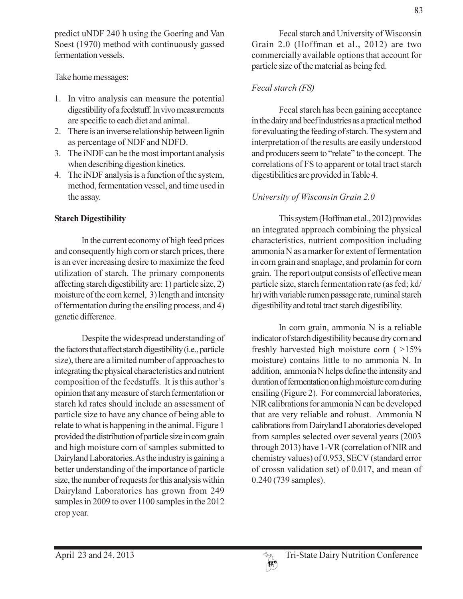predict uNDF 240 h using the Goering and Van Soest (1970) method with continuously gassed fermentation vessels.

Take home messages:

- 1. In vitro analysis can measure the potential digestibility of a feedstuff. In vivo measurements are specific to each diet and animal.
- 2. There is an inverse relationship between lignin as percentage of NDF and NDFD.
- 3. The iNDF can be the most important analysis when describing digestion kinetics.
- 4. The iNDF analysis is a function of the system, method, fermentation vessel, and time used in the assay.

## **Starch Digestibility**

In the current economy of high feed prices and consequently high corn or starch prices, there is an ever increasing desire to maximize the feed utilization of starch. The primary components affecting starch digestibility are: 1) particle size, 2) moisture of the corn kernel, 3) length and intensity of fermentation during the ensiling process, and 4) genetic difference.

Despite the widespread understanding of the factors that affect starch digestibility (i.e., particle size), there are a limited number of approaches to integrating the physical characteristics and nutrient composition of the feedstuffs. It is this author's opinion that any measure of starch fermentation or starch kd rates should include an assessment of particle size to have any chance of being able to relate to what is happening in the animal. Figure 1 provided the distribution of particle size in corn grain and high moisture corn of samples submitted to Dairyland Laboratories. As the industry is gaining a better understanding of the importance of particle size, the number of requests for this analysis within Dairyland Laboratories has grown from 249 samples in 2009 to over 1100 samples in the 2012 crop year.

Fecal starch and University of Wisconsin Grain 2.0 (Hoffman et al., 2012) are two commercially available options that account for particle size of the material as being fed.

# Fecal starch (FS)

Fecal starch has been gaining acceptance in the dairy and beef industries as a practical method for evaluating the feeding of starch. The system and interpretation of the results are easily understood and producers seem to "relate" to the concept. The correlations of FS to apparent or total tract starch digestibilities are provided in Table 4.

# University of Wisconsin Grain 2.0

This system (Hoffman et al., 2012) provides an integrated approach combining the physical characteristics, nutrient composition including ammonia N as a marker for extent of fermentation in corn grain and snaplage, and prolamin for corn grain. The report output consists of effective mean particle size, starch fermentation rate (as fed; kd/ hr) with variable rumen passage rate, ruminal starch digestibility and total tract starch digestibility.

In corn grain, ammonia N is a reliable indicator of starch digestibility because dry corn and freshly harvested high moisture corn  $($  >15% moisture) contains little to no ammonia N. In addition, ammonia N helps define the intensity and duration of fermentation on high moisture corn during ensiling (Figure 2). For commercial laboratories, NIR calibrations for ammonia N can be developed that are very reliable and robust. Ammonia N calibrations from Dairyland Laboratories developed from samples selected over several years (2003) through 2013) have 1-VR (correlation of NIR and chemistry values) of 0.953, SECV (standard error of crossn validation set) of 0.017, and mean of  $0.240(739$  samples).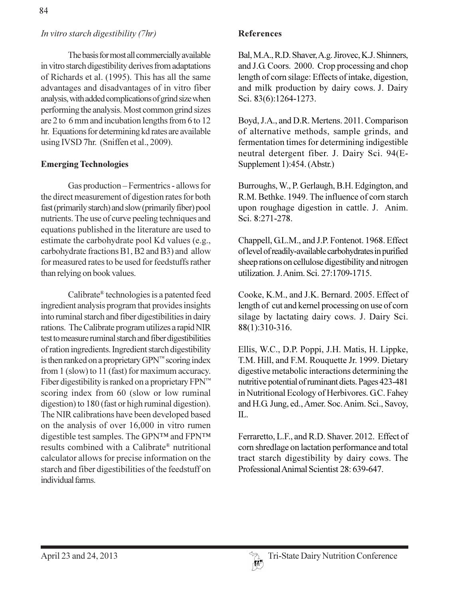## In vitro starch digestibility (7hr)

The basis for most all commercially available in vitro starch digestibility derives from adaptations of Richards et al. (1995). This has all the same advantages and disadvantages of in vitro fiber analysis, with added complications of grind size when performing the analysis. Most common grind sizes are 2 to 6 mm and incubation lengths from 6 to 12 hr. Equations for determining kd rates are available using IVSD 7hr. (Sniffen et al., 2009).

### **Emerging Technologies**

Gas production - Fermentrics - allows for the direct measurement of digestion rates for both fast (primarily starch) and slow (primarily fiber) pool nutrients. The use of curve peeling techniques and equations published in the literature are used to estimate the carbohydrate pool Kd values (e.g., carbohydrate fractions B1, B2 and B3) and allow for measured rates to be used for feedstuffs rather than relying on book values.

Calibrate® technologies is a patented feed ingredient analysis program that provides insights into ruminal starch and fiber digestibilities in dairy rations. The Calibrate program utilizes a rapid NIR test to measure ruminal starch and fiber digestibilities of ration ingredients. Ingredient starch digestibility is then ranked on a proprietary  $\text{GPN}^{\text{m}}$  scoring index from 1 (slow) to 11 (fast) for maximum accuracy. Fiber digestibility is ranked on a proprietary  $FPN^m$ scoring index from 60 (slow or low ruminal digestion) to 180 (fast or high ruminal digestion). The NIR calibrations have been developed based on the analysis of over 16,000 in vitro rumen digestible test samples. The GPNTM and FPNTM results combined with a Calibrate® nutritional calculator allows for precise information on the starch and fiber digestibilities of the feedstuff on individual farms

Bal, M.A., R.D. Shaver, A.g. Jirovec, K.J. Shinners, and J.G. Coors. 2000. Crop processing and chop length of corn silage: Effects of intake, digestion, and milk production by dairy cows. J. Dairy Sci. 83(6):1264-1273.

Boyd, J.A., and D.R. Mertens. 2011. Comparison of alternative methods, sample grinds, and fermentation times for determining indigestible neutral detergent fiber. J. Dairy Sci. 94(E-Supplement 1):454. (Abstr.)

Burroughs, W., P. Gerlaugh, B.H. Edgington, and R.M. Bethke, 1949. The influence of corn starch upon roughage digestion in cattle. J. Anim. Sci. 8:271-278.

Chappell, G.L.M., and J.P. Fontenot. 1968. Effect of level of readily-available carbohydrates in purified sheep rations on cellulose digestibility and nitrogen utilization. J. Anim. Sci. 27:1709-1715.

Cooke, K.M., and J.K. Bernard. 2005. Effect of length of cut and kernel processing on use of corn silage by lactating dairy cows. J. Dairy Sci. 88(1):310-316.

Ellis, W.C., D.P. Poppi, J.H. Matis, H. Lippke, T.M. Hill, and F.M. Rouquette Jr. 1999. Dietary digestive metabolic interactions determining the nutritive potential of ruminant diets. Pages 423-481 in Nutritional Ecology of Herbivores. GC. Fahey and H.G. Jung, ed., Amer. Soc. Anim. Sci., Savoy, IL.

Ferraretto, L.F., and R.D. Shaver. 2012. Effect of corn shredlage on lactation performance and total tract starch digestibility by dairy cows. The Professional Animal Scientist 28: 639-647.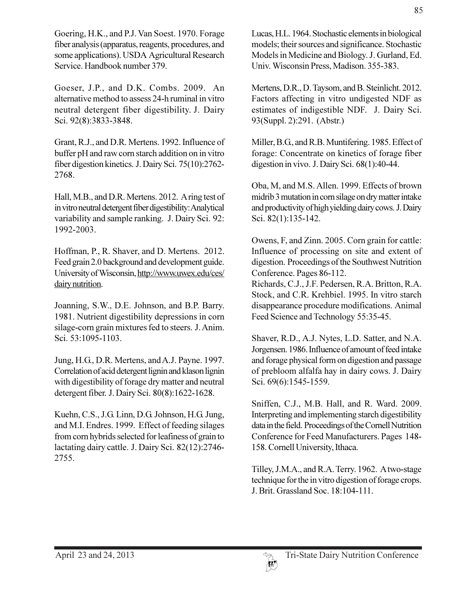Goering, H.K., and P.J. Van Soest. 1970. Forage fiber analysis (apparatus, reagents, procedures, and some applications). USDA Agricultural Research Service. Handbook number 379.

Goeser, J.P., and D.K. Combs. 2009. An alternative method to assess 24-h ruminal in vitro neutral detergent fiber digestibility. J. Dairy Sci. 92(8):3833-3848.

Grant, R.J., and D.R. Mertens. 1992. Influence of buffer pH and raw corn starch addition on in vitro fiber digestion kinetics. J. Dairy Sci. 75(10):2762-2768.

Hall, M.B., and D.R. Mertens. 2012. A ring test of in vitro neutral detergent fiber digestibility: Analytical variability and sample ranking. J. Dairy Sci. 92: 1992-2003.

Hoffman, P., R. Shaver, and D. Mertens. 2012. Feed grain 2.0 background and development guide. University of Wisconsin, http://www.uwex.edu/ces/ dairy nutrition.

Joanning, S.W., D.E. Johnson, and B.P. Barry. 1981. Nutrient digestibility depressions in corn silage-corn grain mixtures fed to steers. J. Anim. Sci. 53:1095-1103.

Jung, H.G., D.R. Mertens, and A.J. Payne. 1997. Correlation of acid detergent lignin and klason lignin with digestibility of forage dry matter and neutral detergent fiber. J. Dairy Sci. 80(8):1622-1628.

Kuehn, C.S., J.G. Linn, D.G. Johnson, H.G. Jung, and M.I. Endres. 1999. Effect of feeding silages from corn hybrids selected for leafiness of grain to lactating dairy cattle. J. Dairy Sci. 82(12):2746-2755.

Lucas, H.L. 1964. Stochastic elements in biological models; their sources and significance. Stochastic Models in Medicine and Biology. J. Gurland, Ed. Univ. Wisconsin Press, Madison. 355-383.

Mertens, D.R., D. Taysom, and B. Steinlicht. 2012. Factors affecting in vitro undigested NDF as estimates of indigestible NDF. J. Dairy Sci. 93(Suppl. 2):291. (Abstr.)

Miller, B.G., and R.B. Muntifering. 1985. Effect of forage: Concentrate on kinetics of forage fiber digestion in vivo. J. Dairy Sci. 68(1):40-44.

Oba, M, and M.S. Allen. 1999. Effects of brown midrib 3 mutation in corn silage on dry matter intake and productivity of high yielding dairy cows. J. Dairy Sci. 82(1):135-142.

Owens, F, and Zinn. 2005. Corn grain for cattle: Influence of processing on site and extent of digestion. Proceedings of the Southwest Nutrition Conference. Pages 86-112.

Richards, C.J., J.F. Pedersen, R.A. Britton, R.A. Stock, and C.R. Krehbiel. 1995. In vitro starch disappearance procedure modifications. Animal Feed Science and Technology 55:35-45.

Shaver, R.D., A.J. Nytes, L.D. Satter, and N.A. Jorgensen. 1986. Influence of amount of feed intake and forage physical form on digestion and passage of prebloom alfalfa hay in dairy cows. J. Dairy Sci. 69(6):1545-1559.

Sniffen, C.J., M.B. Hall, and R. Ward. 2009. Interpreting and implementing starch digestibility data in the field. Proceedings of the Cornell Nutrition Conference for Feed Manufacturers. Pages 148-158. Cornell University, Ithaca.

Tilley, J.M.A., and R.A. Terry. 1962. Atwo-stage technique for the in vitro digestion of forage crops. J. Brit. Grassland Soc. 18:104-111.

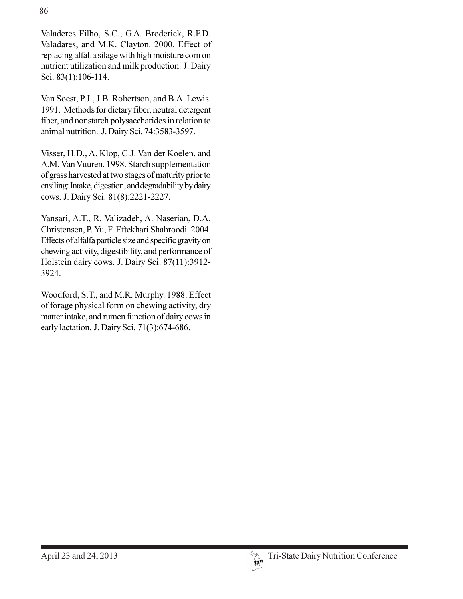Valaderes Filho, S.C., G.A. Broderick, R.F.D. Valadares, and M.K. Clayton. 2000. Effect of replacing alfalfa silage with high moisture corn on nutrient utilization and milk production. J. Dairy Sci. 83(1):106-114.

Van Soest, P.J., J.B. Robertson, and B.A. Lewis. 1991. Methods for dietary fiber, neutral detergent fiber, and nonstarch polysaccharides in relation to animal nutrition. J. Dairy Sci. 74:3583-3597.

Visser, H.D., A. Klop, C.J. Van der Koelen, and A.M. Van Vuuren. 1998. Starch supplementation of grass harvested at two stages of maturity prior to ensiling: Intake, digestion, and degradability by dairy cows. J. Dairy Sci. 81(8):2221-2227.

Yansari, A.T., R. Valizadeh, A. Naserian, D.A. Christensen, P. Yu, F. Eftekhari Shahroodi. 2004. Effects of alfalfa particle size and specific gravity on chewing activity, digestibility, and performance of Holstein dairy cows. J. Dairy Sci. 87(11):3912-3924.

Woodford, S.T., and M.R. Murphy. 1988. Effect of forage physical form on chewing activity, dry matter intake, and rumen function of dairy cows in early lactation. J. Dairy Sci. 71(3):674-686.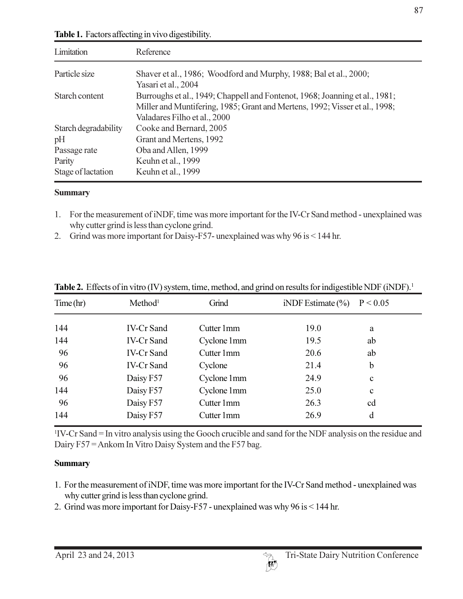| Limitation           | Reference                                                                                                                                                                                  |
|----------------------|--------------------------------------------------------------------------------------------------------------------------------------------------------------------------------------------|
| Particle size        | Shaver et al., 1986; Woodford and Murphy, 1988; Bal et al., 2000;<br>Yasari et al., 2004                                                                                                   |
| Starch content       | Burroughs et al., 1949; Chappell and Fontenot, 1968; Joanning et al., 1981;<br>Miller and Muntifering, 1985; Grant and Mertens, 1992; Visser et al., 1998;<br>Valadares Filho et al., 2000 |
| Starch degradability | Cooke and Bernard, 2005                                                                                                                                                                    |
| pH                   | Grant and Mertens, 1992                                                                                                                                                                    |
| Passage rate         | Oba and Allen, 1999                                                                                                                                                                        |
| Parity               | Keuhn et al., 1999                                                                                                                                                                         |
| Stage of lactation   | Keuhn et al., 1999                                                                                                                                                                         |

Table 1. Factors affecting in vivo digestibility.

#### **Summary**

- 1. For the measurement of iNDF, time was more important for the IV-Cr Sand method unexplained was why cutter grind is less than cyclone grind.
- 2. Grind was more important for Daisy-F57- unexplained was why  $96$  is  $\leq 144$  hr.

| Time(hr) | Method <sup>1</sup> | Grind       | iNDF Estimate $(\% )$ | P < 0.05    |  |
|----------|---------------------|-------------|-----------------------|-------------|--|
| 144      | <b>IV-Cr Sand</b>   | Cutter 1mm  | 19.0                  | a           |  |
| 144      | <b>IV-Cr Sand</b>   | Cyclone 1mm | 19.5                  | ab          |  |
| 96       | <b>IV-Cr Sand</b>   | Cutter 1mm  | 20.6                  | ab          |  |
| 96       | <b>IV-Cr Sand</b>   | Cyclone     | 21.4                  | b           |  |
| 96       | Daisy F57           | Cyclone 1mm | 24.9                  | $\mathbf c$ |  |
| 144      | Daisy F57           | Cyclone 1mm | 25.0                  | $\mathbf c$ |  |
| 96       | Daisy F57           | Cutter 1mm  | 26.3                  | cd          |  |
| 144      | Daisy F57           | Cutter 1mm  | 26.9                  | d           |  |

**Table 2.** Effects of in vitro (IV) system, time, method, and grind on results for indigestible NDF (iNDF).<sup>1</sup>

<sup>1</sup>IV-Cr Sand = In vitro analysis using the Gooch crucible and sand for the NDF analysis on the residue and Dairy F57 = Ankom In Vitro Daisy System and the F57 bag.

#### **Summary**

- 1. For the measurement of iNDF, time was more important for the IV-Cr Sand method unexplained was why cutter grind is less than cyclone grind.
- 2. Grind was more important for Daisy-F57 unexplained was why 96 is < 144 hr.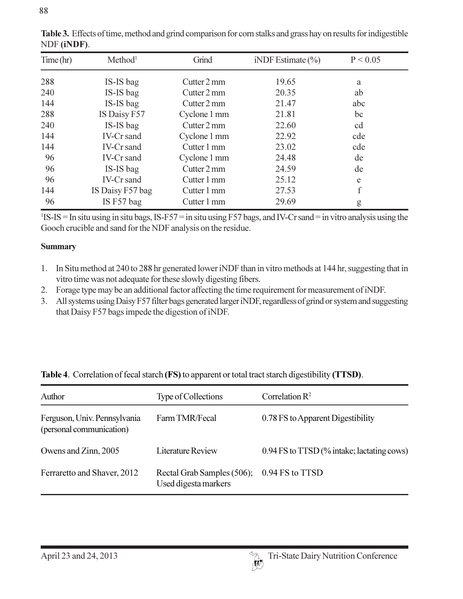| Time(hr) | Method <sup>1</sup> | Grind        | iNDF Estimate $(\% )$ | P < 0.05 |  |
|----------|---------------------|--------------|-----------------------|----------|--|
| 288      | IS-IS bag           | Cutter 2 mm  | 19.65                 | a        |  |
| 240      | IS-IS bag           | Cutter 2 mm  | 20.35                 | ab       |  |
| 144      | IS-IS bag           | Cutter 2 mm  | 21.47                 | abc      |  |
| 288      | IS Daisy F57        | Cyclone 1 mm | 21.81                 | bc       |  |
| 240      | IS-IS bag           | Cutter 2 mm  | 22.60                 | cd       |  |
| 144      | <b>IV-Cr</b> sand   | Cyclone 1 mm | 22.92                 | cde      |  |
| 144      | <b>IV-Cr</b> sand   | Cutter 1 mm  | 23.02                 | cde      |  |
| 96       | IV-Cr sand          | Cyclone 1 mm | 24.48                 | de       |  |
| 96       | IS-IS bag           | Cutter 2 mm  | 24.59                 | de       |  |
| 96       | IV-Cr sand          | Cutter 1 mm  | 25.12                 | e        |  |
| 144      | IS Daisy F57 bag    | Cutter 1 mm  | 27.53                 | f        |  |
| 96       | IS F57 bag          | Cutter 1 mm  | 29.69                 | g        |  |

Table 3. Effects of time, method and grind comparison for corn stalks and grass hay on results for indigestible NDF (iNDF).

<sup>1</sup>IS-IS = In situ using in situ bags, IS-F57 = in situ using F57 bags, and IV-Cr sand = in vitro analysis using the Gooch crucible and sand for the NDF analysis on the residue.

#### **Summary**

- 1. In Situ method at 240 to 288 hr generated lower iNDF than in vitro methods at 144 hr, suggesting that in vitro time was not adequate for these slowly digesting fibers.
- 2. Forage type may be an additional factor affecting the time requirement for measurement of iNDF.
- 3. All systems using Daisy F57 filter bags generated larger iNDF, regardless of grind or system and suggesting that Daisy F57 bags impede the digestion of iNDF.

| Author                                                   | Type of Collections                                | Correlation $\mathbb{R}^2$                 |
|----------------------------------------------------------|----------------------------------------------------|--------------------------------------------|
| Ferguson, Univ. Pennsylvania<br>(personal communication) | Farm TMR/Fecal                                     | 0.78 FS to Apparent Digestibility          |
| Owens and Zinn, 2005                                     | <b>Literature Review</b>                           | 0.94 FS to TTSD (% intake; lactating cows) |
| Ferraretto and Shaver, 2012                              | Rectal Grab Samples (506);<br>Used digesta markers | 0.94 FS to TTSD                            |

|  |  | Table 4. Correlation of fecal starch (FS) to apparent or total tract starch digestibility (TTSD). |
|--|--|---------------------------------------------------------------------------------------------------|